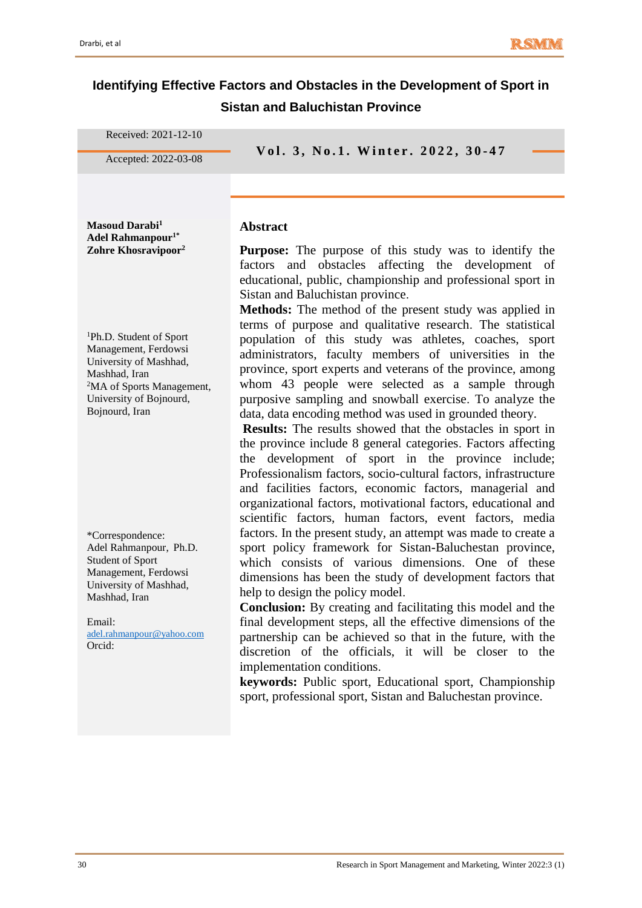# **Identifying Effective Factors and Obstacles in the Development of Sport in Sistan and Baluchistan Province**

| Received: 2021-12-10                                                                                                                                                                         |                                                                                                                                                                                                                                                                                                                                                                                                                                                                                                                                                                                                                                                                                                                                                                                                                                                                              |
|----------------------------------------------------------------------------------------------------------------------------------------------------------------------------------------------|------------------------------------------------------------------------------------------------------------------------------------------------------------------------------------------------------------------------------------------------------------------------------------------------------------------------------------------------------------------------------------------------------------------------------------------------------------------------------------------------------------------------------------------------------------------------------------------------------------------------------------------------------------------------------------------------------------------------------------------------------------------------------------------------------------------------------------------------------------------------------|
| Accepted: 2022-03-08                                                                                                                                                                         | Vol. 3, No.1. Winter. 2022, 30-47                                                                                                                                                                                                                                                                                                                                                                                                                                                                                                                                                                                                                                                                                                                                                                                                                                            |
| Masoud Darabi <sup>1</sup><br>Adel Rahmanpour <sup>1*</sup><br>Zohre Khosravipoor <sup>2</sup>                                                                                               | <b>Abstract</b><br><b>Purpose:</b> The purpose of this study was to identify the<br>affecting the development of<br>and obstacles<br>factors<br>educational, public, championship and professional sport in<br>Sistan and Baluchistan province.<br>Methods: The method of the present study was applied in                                                                                                                                                                                                                                                                                                                                                                                                                                                                                                                                                                   |
| <sup>1</sup> Ph.D. Student of Sport<br>Management, Ferdowsi<br>University of Mashhad,<br>Mashhad, Iran<br><sup>2</sup> MA of Sports Management,<br>University of Bojnourd,<br>Bojnourd, Iran | terms of purpose and qualitative research. The statistical<br>population of this study was athletes, coaches, sport<br>administrators, faculty members of universities in the<br>province, sport experts and veterans of the province, among<br>whom 43 people were selected as a sample through<br>purposive sampling and snowball exercise. To analyze the<br>data, data encoding method was used in grounded theory.<br><b>Results:</b> The results showed that the obstacles in sport in<br>the province include 8 general categories. Factors affecting<br>the development of sport in the province include;<br>Professionalism factors, socio-cultural factors, infrastructure<br>and facilities factors, economic factors, managerial and<br>organizational factors, motivational factors, educational and<br>scientific factors, human factors, event factors, media |
| *Correspondence:<br>Adel Rahmanpour, Ph.D.<br>Student of Sport<br>Management, Ferdowsi<br>University of Mashhad,<br>Mashhad, Iran<br>Email:<br>adel.rahmanpour@yahoo.com<br>Orcid:           | factors. In the present study, an attempt was made to create a<br>sport policy framework for Sistan-Baluchestan province,<br>which consists of various dimensions. One of these<br>dimensions has been the study of development factors that<br>help to design the policy model.<br><b>Conclusion:</b> By creating and facilitating this model and the<br>final development steps, all the effective dimensions of the<br>partnership can be achieved so that in the future, with the<br>discretion of the officials, it will be closer to the<br>implementation conditions.<br>keywords: Public sport, Educational sport, Championship<br>sport, professional sport, Sistan and Baluchestan province.                                                                                                                                                                       |
|                                                                                                                                                                                              |                                                                                                                                                                                                                                                                                                                                                                                                                                                                                                                                                                                                                                                                                                                                                                                                                                                                              |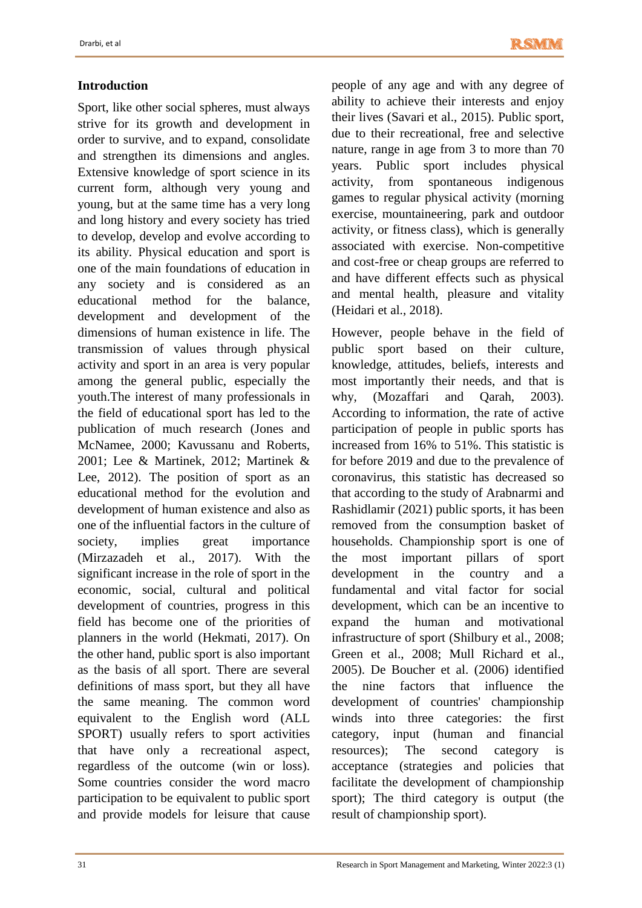# **Introduction**

Sport, like other social spheres, must always strive for its growth and development in order to survive, and to expand, consolidate and strengthen its dimensions and angles. Extensive knowledge of sport science in its current form, although very young and young, but at the same time has a very long and long history and every society has tried to develop, develop and evolve according to its ability. Physical education and sport is one of the main foundations of education in any society and is considered as an educational method for the balance, development and development of the dimensions of human existence in life. The transmission of values through physical activity and sport in an area is very popular among the general public, especially the youth.The interest of many professionals in the field of educational sport has led to the publication of much research (Jones and McNamee, 2000; Kavussanu and Roberts, 2001; Lee & Martinek, 2012; Martinek & Lee, 2012). The position of sport as an educational method for the evolution and development of human existence and also as one of the influential factors in the culture of society, implies great importance (Mirzazadeh et al., 2017). With the significant increase in the role of sport in the economic, social, cultural and political development of countries, progress in this field has become one of the priorities of planners in the world (Hekmati, 2017). On the other hand, public sport is also important as the basis of all sport. There are several definitions of mass sport, but they all have the same meaning. The common word equivalent to the English word (ALL SPORT) usually refers to sport activities that have only a recreational aspect, regardless of the outcome (win or loss). Some countries consider the word macro participation to be equivalent to public sport and provide models for leisure that cause

people of any age and with any degree of ability to achieve their interests and enjoy their lives (Savari et al., 2015). Public sport, due to their recreational, free and selective nature, range in age from 3 to more than 70 years. Public sport includes physical activity, from spontaneous indigenous games to regular physical activity (morning exercise, mountaineering, park and outdoor activity, or fitness class), which is generally associated with exercise. Non-competitive and cost-free or cheap groups are referred to and have different effects such as physical and mental health, pleasure and vitality (Heidari et al., 2018).

However, people behave in the field of public sport based on their culture, knowledge, attitudes, beliefs, interests and most importantly their needs, and that is why, (Mozaffari and Qarah, 2003). According to information, the rate of active participation of people in public sports has increased from 16% to 51%. This statistic is for before 2019 and due to the prevalence of coronavirus, this statistic has decreased so that according to the study of Arabnarmi and Rashidlamir (2021) public sports, it has been removed from the consumption basket of households. Championship sport is one of the most important pillars of sport development in the country and a fundamental and vital factor for social development, which can be an incentive to expand the human and motivational infrastructure of sport (Shilbury et al., 2008; Green et al., 2008; Mull Richard et al., 2005). De Boucher et al. (2006) identified the nine factors that influence the development of countries' championship winds into three categories: the first category, input (human and financial resources); The second category is acceptance (strategies and policies that facilitate the development of championship sport); The third category is output (the result of championship sport).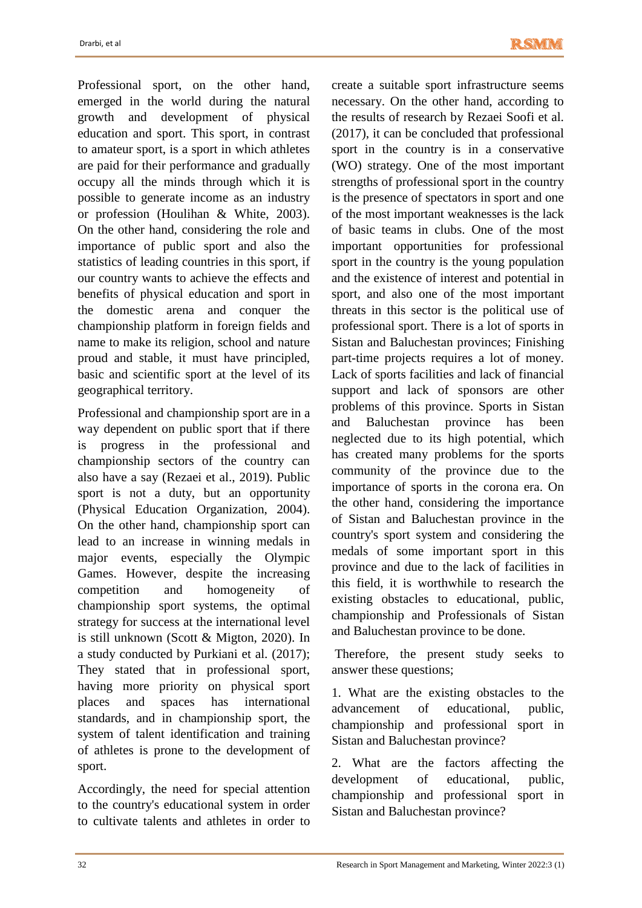Professional sport, on the other hand, emerged in the world during the natural growth and development of physical education and sport. This sport, in contrast to amateur sport, is a sport in which athletes are paid for their performance and gradually occupy all the minds through which it is possible to generate income as an industry or profession (Houlihan & White, 2003). On the other hand, considering the role and importance of public sport and also the statistics of leading countries in this sport, if our country wants to achieve the effects and benefits of physical education and sport in the domestic arena and conquer the championship platform in foreign fields and name to make its religion, school and nature proud and stable, it must have principled, basic and scientific sport at the level of its geographical territory.

Professional and championship sport are in a way dependent on public sport that if there is progress in the professional and championship sectors of the country can also have a say (Rezaei et al., 2019). Public sport is not a duty, but an opportunity (Physical Education Organization, 2004). On the other hand, championship sport can lead to an increase in winning medals in major events, especially the Olympic Games. However, despite the increasing competition and homogeneity of championship sport systems, the optimal strategy for success at the international level is still unknown (Scott & Migton, 2020). In a study conducted by Purkiani et al. (2017); They stated that in professional sport, having more priority on physical sport places and spaces has international standards, and in championship sport, the system of talent identification and training of athletes is prone to the development of sport.

Accordingly, the need for special attention to the country's educational system in order to cultivate talents and athletes in order to create a suitable sport infrastructure seems necessary. On the other hand, according to the results of research by Rezaei Soofi et al. (2017), it can be concluded that professional sport in the country is in a conservative (WO) strategy. One of the most important strengths of professional sport in the country is the presence of spectators in sport and one of the most important weaknesses is the lack of basic teams in clubs. One of the most important opportunities for professional sport in the country is the young population and the existence of interest and potential in sport, and also one of the most important threats in this sector is the political use of professional sport. There is a lot of sports in Sistan and Baluchestan provinces; Finishing part-time projects requires a lot of money. Lack of sports facilities and lack of financial support and lack of sponsors are other problems of this province. Sports in Sistan and Baluchestan province has been neglected due to its high potential, which has created many problems for the sports community of the province due to the importance of sports in the corona era. On the other hand, considering the importance of Sistan and Baluchestan province in the country's sport system and considering the medals of some important sport in this province and due to the lack of facilities in this field, it is worthwhile to research the existing obstacles to educational, public, championship and Professionals of Sistan and Baluchestan province to be done.

Therefore, the present study seeks to answer these questions;

1. What are the existing obstacles to the advancement of educational, public, championship and professional sport in Sistan and Baluchestan province?

2. What are the factors affecting the development of educational, public, championship and professional sport in Sistan and Baluchestan province?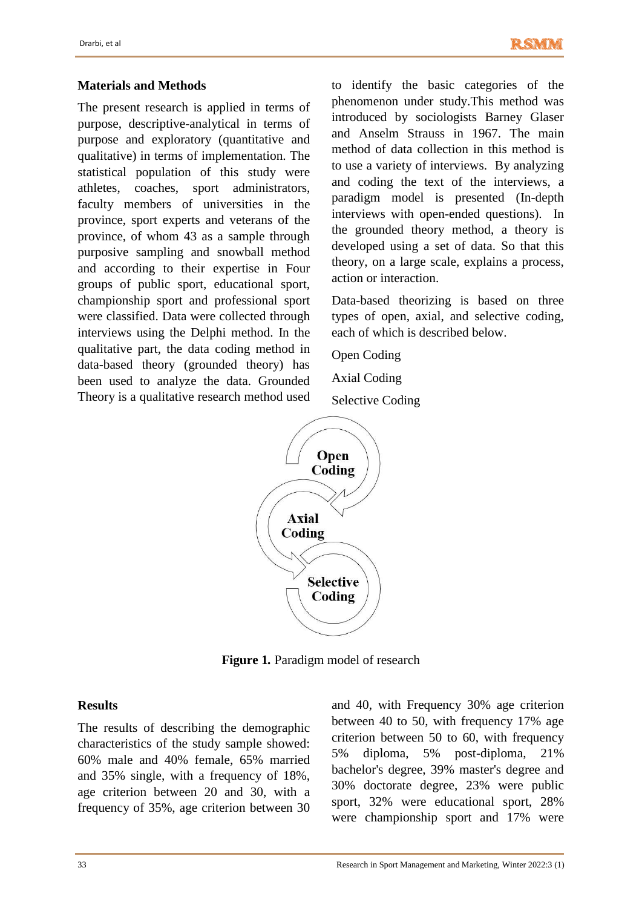#### **Materials and Methods**

The present research is applied in terms of purpose, descriptive-analytical in terms of purpose and exploratory (quantitative and qualitative) in terms of implementation. The statistical population of this study were athletes, coaches, sport administrators, faculty members of universities in the province, sport experts and veterans of the province, of whom 43 as a sample through purposive sampling and snowball method and according to their expertise in Four groups of public sport, educational sport, championship sport and professional sport were classified. Data were collected through interviews using the Delphi method. In the qualitative part, the data coding method in data-based theory (grounded theory) has been used to analyze the data. Grounded Theory is a qualitative research method used to identify the basic categories of the phenomenon under study.This method was introduced by sociologists Barney Glaser and Anselm Strauss in 1967. The main method of data collection in this method is to use a variety of interviews. By analyzing and coding the text of the interviews, a paradigm model is presented (In-depth interviews with open-ended questions). In the grounded theory method, a theory is developed using a set of data. So that this theory, on a large scale, explains a process, action or interaction.

Data-based theorizing is based on three types of open, axial, and selective coding, each of which is described below.

Open Coding Axial Coding Selective Coding



**Figure 1***.* Paradigm model of research

#### **Results**

The results of describing the demographic characteristics of the study sample showed: 60% male and 40% female, 65% married and 35% single, with a frequency of 18%, age criterion between 20 and 30, with a frequency of 35%, age criterion between 30 and 40, with Frequency 30% age criterion between 40 to 50, with frequency 17% age criterion between 50 to 60, with frequency 5% diploma, 5% post-diploma, 21% bachelor's degree, 39% master's degree and 30% doctorate degree, 23% were public sport, 32% were educational sport, 28% were championship sport and 17% were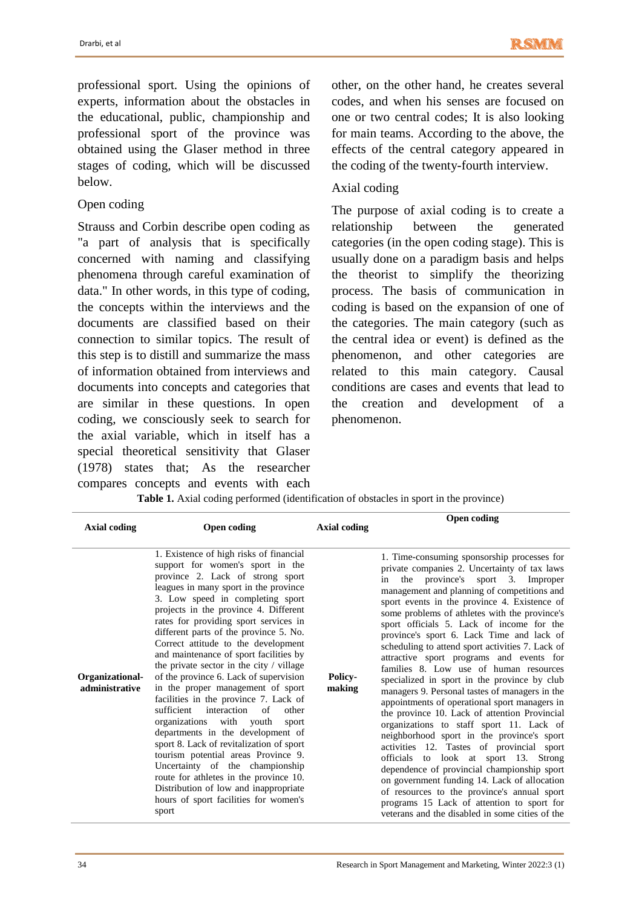professional sport. Using the opinions of experts, information about the obstacles in the educational, public, championship and professional sport of the province was obtained using the Glaser method in three stages of coding, which will be discussed below.

### Open coding

Strauss and Corbin describe open coding as "a part of analysis that is specifically concerned with naming and classifying phenomena through careful examination of data." In other words, in this type of coding, the concepts within the interviews and the documents are classified based on their connection to similar topics. The result of this step is to distill and summarize the mass of information obtained from interviews and documents into concepts and categories that are similar in these questions. In open coding, we consciously seek to search for the axial variable, which in itself has a special theoretical sensitivity that Glaser (1978) states that; As the researcher compares concepts and events with each other, on the other hand, he creates several codes, and when his senses are focused on one or two central codes; It is also looking for main teams. According to the above, the effects of the central category appeared in the coding of the twenty-fourth interview.

### Axial coding

The purpose of axial coding is to create a relationship between the generated categories (in the open coding stage). This is usually done on a paradigm basis and helps the theorist to simplify the theorizing process. The basis of communication in coding is based on the expansion of one of the categories. The main category (such as the central idea or event) is defined as the phenomenon, and other categories are related to this main category. Causal conditions are cases and events that lead to the creation and development of a phenomenon.

**Table 1.** Axial coding performed (identification of obstacles in sport in the province)

| <b>Axial coding</b>               | Open coding                                                                                                                                                                                                                                                                                                                                                                                                                                                                                                                                                                                                                                                                                                                                                                                                                                                                                                                                                    | <b>Axial coding</b>      | <b>Open coding</b>                                                                                                                                                                                                                                                                                                                                                                                                                                                                                                                                                                                                                                                                                                                                                                                                                                                                                                                                                                                                                                                                                                                                           |
|-----------------------------------|----------------------------------------------------------------------------------------------------------------------------------------------------------------------------------------------------------------------------------------------------------------------------------------------------------------------------------------------------------------------------------------------------------------------------------------------------------------------------------------------------------------------------------------------------------------------------------------------------------------------------------------------------------------------------------------------------------------------------------------------------------------------------------------------------------------------------------------------------------------------------------------------------------------------------------------------------------------|--------------------------|--------------------------------------------------------------------------------------------------------------------------------------------------------------------------------------------------------------------------------------------------------------------------------------------------------------------------------------------------------------------------------------------------------------------------------------------------------------------------------------------------------------------------------------------------------------------------------------------------------------------------------------------------------------------------------------------------------------------------------------------------------------------------------------------------------------------------------------------------------------------------------------------------------------------------------------------------------------------------------------------------------------------------------------------------------------------------------------------------------------------------------------------------------------|
| Organizational-<br>administrative | 1. Existence of high risks of financial<br>support for women's sport in the<br>province 2. Lack of strong sport<br>leagues in many sport in the province<br>3. Low speed in completing sport<br>projects in the province 4. Different<br>rates for providing sport services in<br>different parts of the province 5. No.<br>Correct attitude to the development<br>and maintenance of sport facilities by<br>the private sector in the city / village<br>of the province 6. Lack of supervision<br>in the proper management of sport<br>facilities in the province 7. Lack of<br>interaction<br>sufficient<br>of<br>other<br>organizations with youth<br>sport<br>departments in the development of<br>sport 8. Lack of revitalization of sport<br>tourism potential areas Province 9.<br>Uncertainty of the championship<br>route for athletes in the province 10.<br>Distribution of low and inappropriate<br>hours of sport facilities for women's<br>sport | <b>Policy-</b><br>making | 1. Time-consuming sponsorship processes for<br>private companies 2. Uncertainty of tax laws<br>the province's sport 3. Improper<br>in<br>management and planning of competitions and<br>sport events in the province 4. Existence of<br>some problems of athletes with the province's<br>sport officials 5. Lack of income for the<br>province's sport 6. Lack Time and lack of<br>scheduling to attend sport activities 7. Lack of<br>attractive sport programs and events for<br>families 8. Low use of human resources<br>specialized in sport in the province by club<br>managers 9. Personal tastes of managers in the<br>appointments of operational sport managers in<br>the province 10. Lack of attention Provincial<br>organizations to staff sport 11. Lack of<br>neighborhood sport in the province's sport<br>activities 12. Tastes of provincial sport<br>officials to look at sport 13. Strong<br>dependence of provincial championship sport<br>on government funding 14. Lack of allocation<br>of resources to the province's annual sport<br>programs 15 Lack of attention to sport for<br>veterans and the disabled in some cities of the |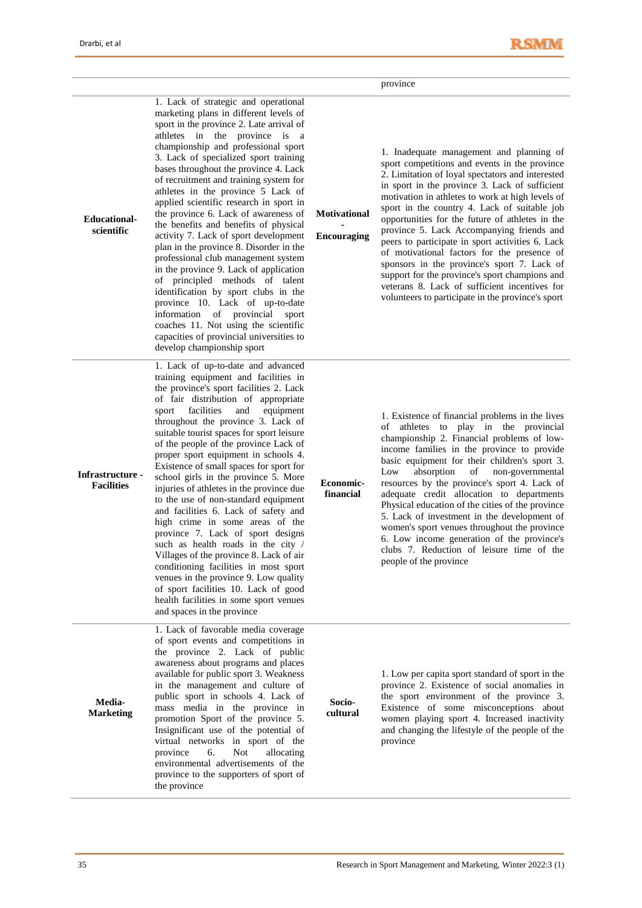i.

|                                       |                                                                                                                                                                                                                                                                                                                                                                                                                                                                                                                                                                                                                                                                                                                                                                                                                                                                                                                                                       |                                           | province                                                                                                                                                                                                                                                                                                                                                                                                                                                                                                                                                                                                                                                                                                      |
|---------------------------------------|-------------------------------------------------------------------------------------------------------------------------------------------------------------------------------------------------------------------------------------------------------------------------------------------------------------------------------------------------------------------------------------------------------------------------------------------------------------------------------------------------------------------------------------------------------------------------------------------------------------------------------------------------------------------------------------------------------------------------------------------------------------------------------------------------------------------------------------------------------------------------------------------------------------------------------------------------------|-------------------------------------------|---------------------------------------------------------------------------------------------------------------------------------------------------------------------------------------------------------------------------------------------------------------------------------------------------------------------------------------------------------------------------------------------------------------------------------------------------------------------------------------------------------------------------------------------------------------------------------------------------------------------------------------------------------------------------------------------------------------|
| <b>Educational-</b><br>scientific     | 1. Lack of strategic and operational<br>marketing plans in different levels of<br>sport in the province 2. Late arrival of<br>athletes in the province is a<br>championship and professional sport<br>3. Lack of specialized sport training<br>bases throughout the province 4. Lack<br>of recruitment and training system for<br>athletes in the province 5 Lack of<br>applied scientific research in sport in<br>the province 6. Lack of awareness of<br>the benefits and benefits of physical<br>activity 7. Lack of sport development<br>plan in the province 8. Disorder in the<br>professional club management system<br>in the province 9. Lack of application<br>of principled methods of talent<br>identification by sport clubs in the<br>province 10. Lack of up-to-date<br>information of provincial sport<br>coaches 11. Not using the scientific<br>capacities of provincial universities to<br>develop championship sport              | <b>Motivational</b><br><b>Encouraging</b> | 1. Inadequate management and planning of<br>sport competitions and events in the province<br>2. Limitation of loyal spectators and interested<br>in sport in the province 3. Lack of sufficient<br>motivation in athletes to work at high levels of<br>sport in the country 4. Lack of suitable job<br>opportunities for the future of athletes in the<br>province 5. Lack Accompanying friends and<br>peers to participate in sport activities 6. Lack<br>of motivational factors for the presence of<br>sponsors in the province's sport 7. Lack of<br>support for the province's sport champions and<br>veterans 8. Lack of sufficient incentives for<br>volunteers to participate in the province's sport |
| Infrastructure -<br><b>Facilities</b> | 1. Lack of up-to-date and advanced<br>training equipment and facilities in<br>the province's sport facilities 2. Lack<br>of fair distribution of appropriate<br>facilities<br>equipment<br>sport<br>and<br>throughout the province 3. Lack of<br>suitable tourist spaces for sport leisure<br>of the people of the province Lack of<br>proper sport equipment in schools 4.<br>Existence of small spaces for sport for<br>school girls in the province 5. More<br>injuries of athletes in the province due<br>to the use of non-standard equipment<br>and facilities 6. Lack of safety and<br>high crime in some areas of the<br>province 7. Lack of sport designs<br>such as health roads in the city /<br>Villages of the province 8. Lack of air<br>conditioning facilities in most sport<br>venues in the province 9. Low quality<br>of sport facilities 10. Lack of good<br>health facilities in some sport venues<br>and spaces in the province | Economic-<br>financial                    | 1. Existence of financial problems in the lives<br>of athletes to play in the provincial<br>championship 2. Financial problems of low-<br>income families in the province to provide<br>basic equipment for their children's sport 3.<br>Low<br>absorption<br>of<br>non-governmental<br>resources by the province's sport 4. Lack of<br>adequate credit allocation to departments<br>Physical education of the cities of the province<br>5. Lack of investment in the development of<br>women's sport venues throughout the province<br>6. Low income generation of the province's<br>clubs 7. Reduction of leisure time of the<br>people of the province                                                     |
| Media-<br><b>Marketing</b>            | 1. Lack of favorable media coverage<br>of sport events and competitions in<br>the province 2. Lack of public<br>awareness about programs and places<br>available for public sport 3. Weakness<br>in the management and culture of<br>public sport in schools 4. Lack of<br>mass media in the province in<br>promotion Sport of the province 5.<br>Insignificant use of the potential of<br>virtual networks in sport of the<br>province<br>6.<br>Not<br>allocating<br>environmental advertisements of the<br>province to the supporters of sport of<br>the province                                                                                                                                                                                                                                                                                                                                                                                   | Socio-<br>cultural                        | 1. Low per capita sport standard of sport in the<br>province 2. Existence of social anomalies in<br>the sport environment of the province 3.<br>Existence of some misconceptions about<br>women playing sport 4. Increased inactivity<br>and changing the lifestyle of the people of the<br>province                                                                                                                                                                                                                                                                                                                                                                                                          |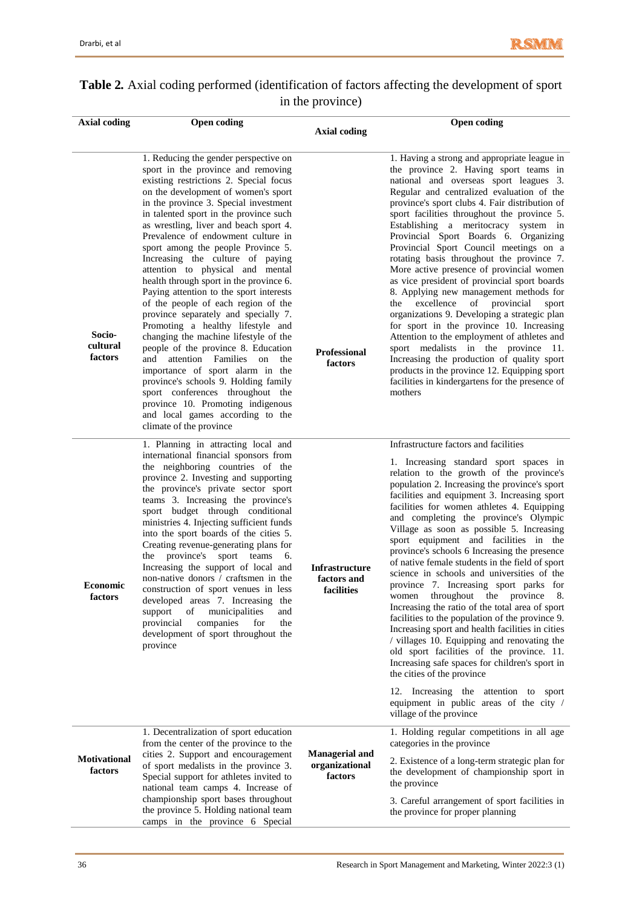| <b>Table 2.</b> Axial coding performed (identification of factors affecting the development of sport |                  |  |  |
|------------------------------------------------------------------------------------------------------|------------------|--|--|
|                                                                                                      | in the province) |  |  |

| <b>Axial coding</b>            | <b>Open coding</b>                                                                                                                                                                                                                                                                                                                                                                                                                                                                                                                                                                                                                                                                                                                                                                                                                                                                                                                                                                                    |                                                    | <b>Open coding</b>                                                                                                                                                                                                                                                                                                                                                                                                                                                                                                                                                                                                                                                                                                                                                                                                                                                                                                                                                                                                                                                                            |
|--------------------------------|-------------------------------------------------------------------------------------------------------------------------------------------------------------------------------------------------------------------------------------------------------------------------------------------------------------------------------------------------------------------------------------------------------------------------------------------------------------------------------------------------------------------------------------------------------------------------------------------------------------------------------------------------------------------------------------------------------------------------------------------------------------------------------------------------------------------------------------------------------------------------------------------------------------------------------------------------------------------------------------------------------|----------------------------------------------------|-----------------------------------------------------------------------------------------------------------------------------------------------------------------------------------------------------------------------------------------------------------------------------------------------------------------------------------------------------------------------------------------------------------------------------------------------------------------------------------------------------------------------------------------------------------------------------------------------------------------------------------------------------------------------------------------------------------------------------------------------------------------------------------------------------------------------------------------------------------------------------------------------------------------------------------------------------------------------------------------------------------------------------------------------------------------------------------------------|
|                                |                                                                                                                                                                                                                                                                                                                                                                                                                                                                                                                                                                                                                                                                                                                                                                                                                                                                                                                                                                                                       | <b>Axial coding</b>                                |                                                                                                                                                                                                                                                                                                                                                                                                                                                                                                                                                                                                                                                                                                                                                                                                                                                                                                                                                                                                                                                                                               |
| Socio-<br>cultural<br>factors  | 1. Reducing the gender perspective on<br>sport in the province and removing<br>existing restrictions 2. Special focus<br>on the development of women's sport<br>in the province 3. Special investment<br>in talented sport in the province such<br>as wrestling, liver and beach sport 4.<br>Prevalence of endowment culture in<br>sport among the people Province 5.<br>Increasing the culture of paying<br>attention to physical and mental<br>health through sport in the province 6.<br>Paying attention to the sport interests<br>of the people of each region of the<br>province separately and specially 7.<br>Promoting a healthy lifestyle and<br>changing the machine lifestyle of the<br>people of the province 8. Education<br>attention Families<br>and<br>on<br>the<br>importance of sport alarm in the<br>province's schools 9. Holding family<br>sport conferences throughout the<br>province 10. Promoting indigenous<br>and local games according to the<br>climate of the province | <b>Professional</b><br>factors                     | 1. Having a strong and appropriate league in<br>the province 2. Having sport teams in<br>national and overseas sport leagues 3.<br>Regular and centralized evaluation of the<br>province's sport clubs 4. Fair distribution of<br>sport facilities throughout the province 5.<br>Establishing a meritocracy system in<br>Provincial Sport Boards 6. Organizing<br>Provincial Sport Council meetings on a<br>rotating basis throughout the province 7.<br>More active presence of provincial women<br>as vice president of provincial sport boards<br>8. Applying new management methods for<br>excellence<br>of provincial<br>the<br>sport<br>organizations 9. Developing a strategic plan<br>for sport in the province 10. Increasing<br>Attention to the employment of athletes and<br>sport medalists in the province 11.<br>Increasing the production of quality sport<br>products in the province 12. Equipping sport<br>facilities in kindergartens for the presence of<br>mothers                                                                                                      |
| <b>Economic</b><br>factors     | 1. Planning in attracting local and<br>international financial sponsors from<br>the neighboring countries of the<br>province 2. Investing and supporting<br>the province's private sector sport<br>teams 3. Increasing the province's<br>sport budget through conditional<br>ministries 4. Injecting sufficient funds<br>into the sport boards of the cities 5.<br>Creating revenue-generating plans for<br>the province's sport teams<br>6.<br>Increasing the support of local and<br>non-native donors / craftsmen in the<br>construction of sport venues in less<br>developed areas 7. Increasing the<br>municipalities<br>support<br>οf<br>and<br>provincial<br>companies<br>for<br>the<br>development of sport throughout the<br>province                                                                                                                                                                                                                                                        | Infrastructure<br>factors and<br>facilities        | Infrastructure factors and facilities<br>1. Increasing standard sport spaces in<br>relation to the growth of the province's<br>population 2. Increasing the province's sport<br>facilities and equipment 3. Increasing sport<br>facilities for women athletes 4. Equipping<br>and completing the province's Olympic<br>Village as soon as possible 5. Increasing<br>sport equipment and facilities in the<br>province's schools 6 Increasing the presence<br>of native female students in the field of sport<br>science in schools and universities of the<br>province 7. Increasing sport parks for<br>women throughout the province 8.<br>Increasing the ratio of the total area of sport<br>facilities to the population of the province 9.<br>Increasing sport and health facilities in cities<br>/ villages 10. Equipping and renovating the<br>old sport facilities of the province. 11.<br>Increasing safe spaces for children's sport in<br>the cities of the province<br>12. Increasing the attention to sport<br>equipment in public areas of the city /<br>village of the province |
| <b>Motivational</b><br>factors | 1. Decentralization of sport education<br>from the center of the province to the<br>cities 2. Support and encouragement<br>of sport medalists in the province 3.<br>Special support for athletes invited to<br>national team camps 4. Increase of<br>championship sport bases throughout<br>the province 5. Holding national team                                                                                                                                                                                                                                                                                                                                                                                                                                                                                                                                                                                                                                                                     | <b>Managerial and</b><br>organizational<br>factors | 1. Holding regular competitions in all age<br>categories in the province<br>2. Existence of a long-term strategic plan for<br>the development of championship sport in<br>the province<br>3. Careful arrangement of sport facilities in<br>the province for proper planning                                                                                                                                                                                                                                                                                                                                                                                                                                                                                                                                                                                                                                                                                                                                                                                                                   |
|                                | camps in the province 6 Special                                                                                                                                                                                                                                                                                                                                                                                                                                                                                                                                                                                                                                                                                                                                                                                                                                                                                                                                                                       |                                                    |                                                                                                                                                                                                                                                                                                                                                                                                                                                                                                                                                                                                                                                                                                                                                                                                                                                                                                                                                                                                                                                                                               |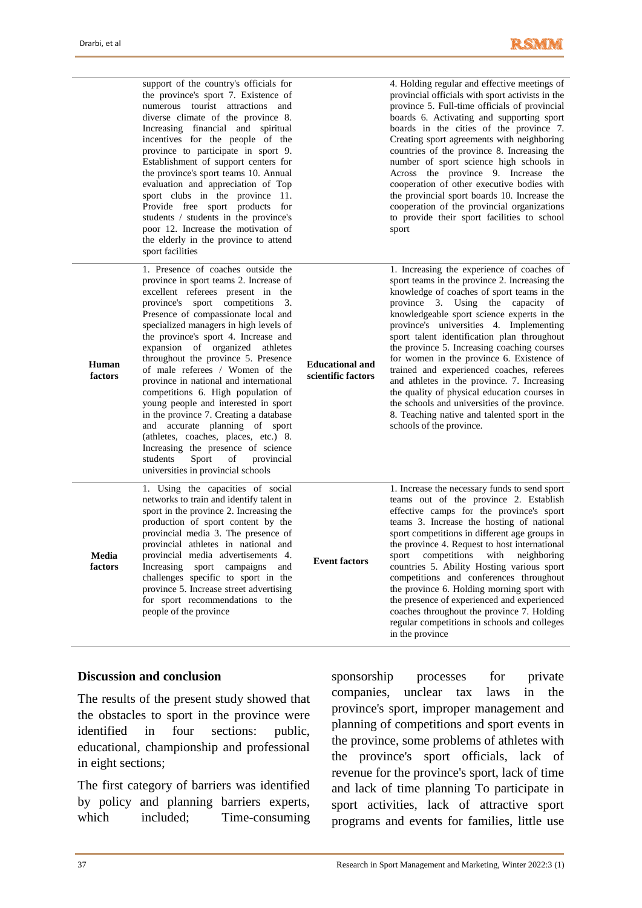

|                  | support of the country's officials for<br>the province's sport 7. Existence of<br>numerous tourist attractions and<br>diverse climate of the province 8.<br>Increasing financial and spiritual<br>incentives for the people of the<br>province to participate in sport 9.<br>Establishment of support centers for<br>the province's sport teams 10. Annual<br>evaluation and appreciation of Top<br>sport clubs in the province 11.<br>Provide free sport products for<br>students / students in the province's<br>poor 12. Increase the motivation of<br>the elderly in the province to attend<br>sport facilities                                                                                                                                          |                                              | 4. Holding regular and effective meetings of<br>provincial officials with sport activists in the<br>province 5. Full-time officials of provincial<br>boards 6. Activating and supporting sport<br>boards in the cities of the province 7.<br>Creating sport agreements with neighboring<br>countries of the province 8. Increasing the<br>number of sport science high schools in<br>Across the province 9. Increase the<br>cooperation of other executive bodies with<br>the provincial sport boards 10. Increase the<br>cooperation of the provincial organizations<br>to provide their sport facilities to school<br>sport                                                               |
|------------------|--------------------------------------------------------------------------------------------------------------------------------------------------------------------------------------------------------------------------------------------------------------------------------------------------------------------------------------------------------------------------------------------------------------------------------------------------------------------------------------------------------------------------------------------------------------------------------------------------------------------------------------------------------------------------------------------------------------------------------------------------------------|----------------------------------------------|---------------------------------------------------------------------------------------------------------------------------------------------------------------------------------------------------------------------------------------------------------------------------------------------------------------------------------------------------------------------------------------------------------------------------------------------------------------------------------------------------------------------------------------------------------------------------------------------------------------------------------------------------------------------------------------------|
| Human<br>factors | 1. Presence of coaches outside the<br>province in sport teams 2. Increase of<br>excellent referees present in the<br>province's sport competitions 3.<br>Presence of compassionate local and<br>specialized managers in high levels of<br>the province's sport 4. Increase and<br>expansion of organized athletes<br>throughout the province 5. Presence<br>of male referees / Women of the<br>province in national and international<br>competitions 6. High population of<br>young people and interested in sport<br>in the province 7. Creating a database<br>and accurate planning of sport<br>(athletes, coaches, places, etc.) 8.<br>Increasing the presence of science<br>students<br>Sport<br>of<br>provincial<br>universities in provincial schools | <b>Educational and</b><br>scientific factors | 1. Increasing the experience of coaches of<br>sport teams in the province 2. Increasing the<br>knowledge of coaches of sport teams in the<br>province 3. Using the capacity of<br>knowledgeable sport science experts in the<br>province's universities 4. Implementing<br>sport talent identification plan throughout<br>the province 5. Increasing coaching courses<br>for women in the province 6. Existence of<br>trained and experienced coaches, referees<br>and athletes in the province. 7. Increasing<br>the quality of physical education courses in<br>the schools and universities of the province.<br>8. Teaching native and talented sport in the<br>schools of the province. |
| Media<br>factors | 1. Using the capacities of social<br>networks to train and identify talent in<br>sport in the province 2. Increasing the<br>production of sport content by the<br>provincial media 3. The presence of<br>provincial athletes in national and<br>provincial media advertisements 4.<br>Increasing sport<br>campaigns<br>and<br>challenges specific to sport in the<br>province 5. Increase street advertising<br>for sport recommendations to the<br>people of the province                                                                                                                                                                                                                                                                                   | <b>Event factors</b>                         | 1. Increase the necessary funds to send sport<br>teams out of the province 2. Establish<br>effective camps for the province's sport<br>teams 3. Increase the hosting of national<br>sport competitions in different age groups in<br>the province 4. Request to host international<br>competitions with<br>sport<br>neighboring<br>countries 5. Ability Hosting various sport<br>competitions and conferences throughout<br>the province 6. Holding morning sport with<br>the presence of experienced and experienced<br>coaches throughout the province 7. Holding<br>regular competitions in schools and colleges<br>in the province                                                      |

#### **Discussion and conclusion**

The results of the present study showed that the obstacles to sport in the province were identified in four sections: public, educational, championship and professional in eight sections;

The first category of barriers was identified by policy and planning barriers experts, which included; Time-consuming

sponsorship processes for private companies, unclear tax laws in the province's sport, improper management and planning of competitions and sport events in the province, some problems of athletes with the province's sport officials, lack of revenue for the province's sport, lack of time and lack of time planning To participate in sport activities, lack of attractive sport programs and events for families, little use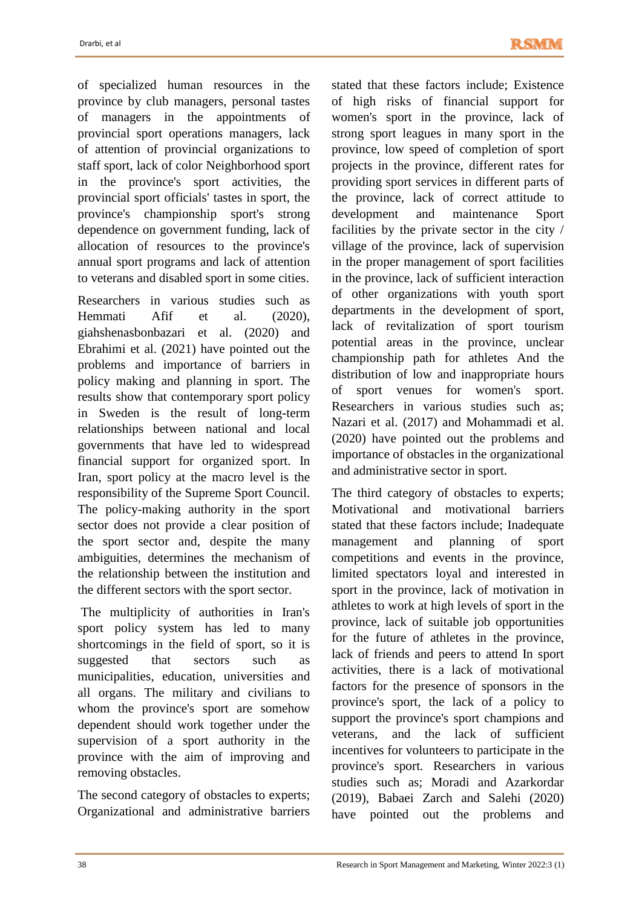of specialized human resources in the province by club managers, personal tastes of managers in the appointments of provincial sport operations managers, lack of attention of provincial organizations to staff sport, lack of color Neighborhood sport in the province's sport activities, the provincial sport officials' tastes in sport, the province's championship sport's strong dependence on government funding, lack of allocation of resources to the province's annual sport programs and lack of attention to veterans and disabled sport in some cities.

Researchers in various studies such as Hemmati Afif et al. (2020), giahshenasbonbazari et al. (2020) and Ebrahimi et al. (2021) have pointed out the problems and importance of barriers in policy making and planning in sport. The results show that contemporary sport policy in Sweden is the result of long-term relationships between national and local governments that have led to widespread financial support for organized sport. In Iran, sport policy at the macro level is the responsibility of the Supreme Sport Council. The policy-making authority in the sport sector does not provide a clear position of the sport sector and, despite the many ambiguities, determines the mechanism of the relationship between the institution and the different sectors with the sport sector.

The multiplicity of authorities in Iran's sport policy system has led to many shortcomings in the field of sport, so it is suggested that sectors such as municipalities, education, universities and all organs. The military and civilians to whom the province's sport are somehow dependent should work together under the supervision of a sport authority in the province with the aim of improving and removing obstacles.

The second category of obstacles to experts; Organizational and administrative barriers

stated that these factors include; Existence of high risks of financial support for women's sport in the province, lack of strong sport leagues in many sport in the province, low speed of completion of sport projects in the province, different rates for providing sport services in different parts of the province, lack of correct attitude to development and maintenance Sport facilities by the private sector in the city / village of the province, lack of supervision in the proper management of sport facilities in the province, lack of sufficient interaction of other organizations with youth sport departments in the development of sport, lack of revitalization of sport tourism potential areas in the province, unclear championship path for athletes And the distribution of low and inappropriate hours of sport venues for women's sport. Researchers in various studies such as; Nazari et al. (2017) and Mohammadi et al. (2020) have pointed out the problems and importance of obstacles in the organizational and administrative sector in sport.

The third category of obstacles to experts; Motivational and motivational barriers stated that these factors include; Inadequate management and planning of sport competitions and events in the province, limited spectators loyal and interested in sport in the province, lack of motivation in athletes to work at high levels of sport in the province, lack of suitable job opportunities for the future of athletes in the province, lack of friends and peers to attend In sport activities, there is a lack of motivational factors for the presence of sponsors in the province's sport, the lack of a policy to support the province's sport champions and veterans, and the lack of sufficient incentives for volunteers to participate in the province's sport. Researchers in various studies such as; Moradi and Azarkordar (2019), Babaei Zarch and Salehi (2020) have pointed out the problems and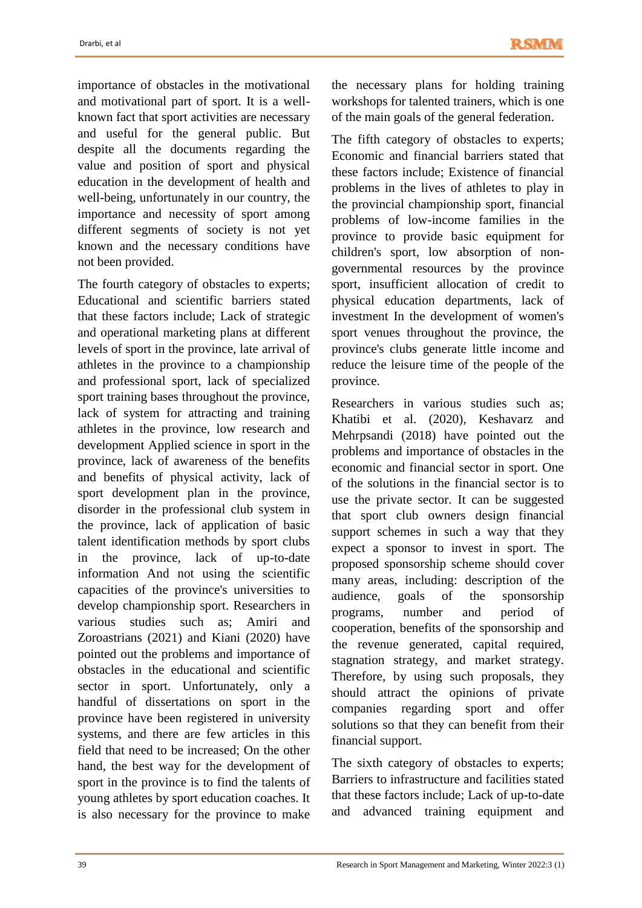importance of obstacles in the motivational and motivational part of sport. It is a wellknown fact that sport activities are necessary and useful for the general public. But despite all the documents regarding the value and position of sport and physical education in the development of health and well-being, unfortunately in our country, the importance and necessity of sport among different segments of society is not yet known and the necessary conditions have not been provided.

The fourth category of obstacles to experts; Educational and scientific barriers stated that these factors include; Lack of strategic and operational marketing plans at different levels of sport in the province, late arrival of athletes in the province to a championship and professional sport, lack of specialized sport training bases throughout the province, lack of system for attracting and training athletes in the province, low research and development Applied science in sport in the province, lack of awareness of the benefits and benefits of physical activity, lack of sport development plan in the province, disorder in the professional club system in the province, lack of application of basic talent identification methods by sport clubs in the province, lack of up-to-date information And not using the scientific capacities of the province's universities to develop championship sport. Researchers in various studies such as; Amiri and Zoroastrians (2021) and Kiani (2020) have pointed out the problems and importance of obstacles in the educational and scientific sector in sport. Unfortunately, only a handful of dissertations on sport in the province have been registered in university systems, and there are few articles in this field that need to be increased; On the other hand, the best way for the development of sport in the province is to find the talents of young athletes by sport education coaches. It is also necessary for the province to make

the necessary plans for holding training workshops for talented trainers, which is one of the main goals of the general federation.

The fifth category of obstacles to experts; Economic and financial barriers stated that these factors include; Existence of financial problems in the lives of athletes to play in the provincial championship sport, financial problems of low-income families in the province to provide basic equipment for children's sport, low absorption of nongovernmental resources by the province sport, insufficient allocation of credit to physical education departments, lack of investment In the development of women's sport venues throughout the province, the province's clubs generate little income and reduce the leisure time of the people of the province.

Researchers in various studies such as; Khatibi et al. (2020), Keshavarz and Mehrpsandi (2018) have pointed out the problems and importance of obstacles in the economic and financial sector in sport. One of the solutions in the financial sector is to use the private sector. It can be suggested that sport club owners design financial support schemes in such a way that they expect a sponsor to invest in sport. The proposed sponsorship scheme should cover many areas, including: description of the audience, goals of the sponsorship programs, number and period of cooperation, benefits of the sponsorship and the revenue generated, capital required, stagnation strategy, and market strategy. Therefore, by using such proposals, they should attract the opinions of private companies regarding sport and offer solutions so that they can benefit from their financial support.

The sixth category of obstacles to experts; Barriers to infrastructure and facilities stated that these factors include; Lack of up-to-date and advanced training equipment and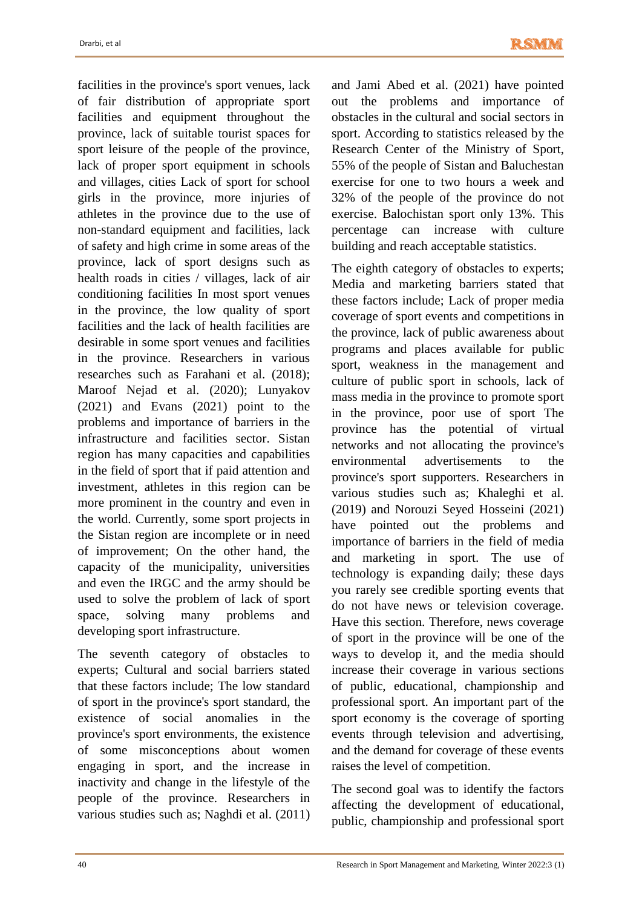facilities in the province's sport venues, lack of fair distribution of appropriate sport facilities and equipment throughout the province, lack of suitable tourist spaces for sport leisure of the people of the province, lack of proper sport equipment in schools and villages, cities Lack of sport for school girls in the province, more injuries of athletes in the province due to the use of non-standard equipment and facilities, lack of safety and high crime in some areas of the province, lack of sport designs such as health roads in cities / villages, lack of air conditioning facilities In most sport venues in the province, the low quality of sport facilities and the lack of health facilities are desirable in some sport venues and facilities in the province. Researchers in various researches such as Farahani et al. (2018); Maroof Nejad et al. (2020); Lunyakov (2021) and Evans (2021) point to the problems and importance of barriers in the infrastructure and facilities sector. Sistan region has many capacities and capabilities in the field of sport that if paid attention and investment, athletes in this region can be more prominent in the country and even in the world. Currently, some sport projects in the Sistan region are incomplete or in need of improvement; On the other hand, the capacity of the municipality, universities and even the IRGC and the army should be used to solve the problem of lack of sport space, solving many problems and developing sport infrastructure.

The seventh category of obstacles to experts; Cultural and social barriers stated that these factors include; The low standard of sport in the province's sport standard, the existence of social anomalies in the province's sport environments, the existence of some misconceptions about women engaging in sport, and the increase in inactivity and change in the lifestyle of the people of the province. Researchers in various studies such as; Naghdi et al. (2011) and Jami Abed et al. (2021) have pointed out the problems and importance of obstacles in the cultural and social sectors in sport. According to statistics released by the Research Center of the Ministry of Sport, 55% of the people of Sistan and Baluchestan exercise for one to two hours a week and 32% of the people of the province do not exercise. Balochistan sport only 13%. This percentage can increase with culture building and reach acceptable statistics.

The eighth category of obstacles to experts; Media and marketing barriers stated that these factors include; Lack of proper media coverage of sport events and competitions in the province, lack of public awareness about programs and places available for public sport, weakness in the management and culture of public sport in schools, lack of mass media in the province to promote sport in the province, poor use of sport The province has the potential of virtual networks and not allocating the province's environmental advertisements to the province's sport supporters. Researchers in various studies such as; Khaleghi et al. (2019) and Norouzi Seyed Hosseini (2021) have pointed out the problems and importance of barriers in the field of media and marketing in sport. The use of technology is expanding daily; these days you rarely see credible sporting events that do not have news or television coverage. Have this section. Therefore, news coverage of sport in the province will be one of the ways to develop it, and the media should increase their coverage in various sections of public, educational, championship and professional sport. An important part of the sport economy is the coverage of sporting events through television and advertising, and the demand for coverage of these events raises the level of competition.

The second goal was to identify the factors affecting the development of educational, public, championship and professional sport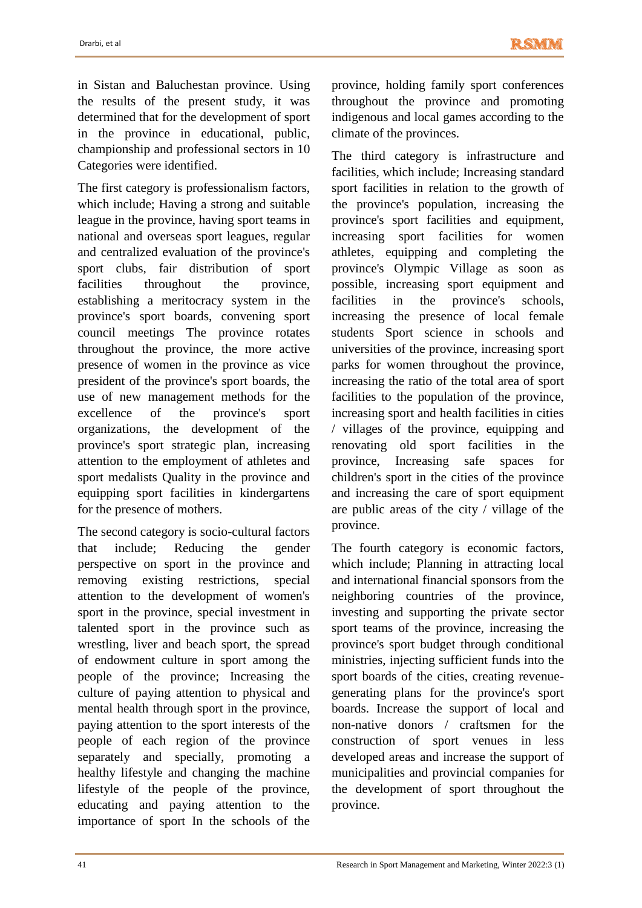in Sistan and Baluchestan province. Using the results of the present study, it was determined that for the development of sport in the province in educational, public, championship and professional sectors in 10 Categories were identified.

The first category is professionalism factors, which include; Having a strong and suitable league in the province, having sport teams in national and overseas sport leagues, regular and centralized evaluation of the province's sport clubs, fair distribution of sport facilities throughout the province, establishing a meritocracy system in the province's sport boards, convening sport council meetings The province rotates throughout the province, the more active presence of women in the province as vice president of the province's sport boards, the use of new management methods for the excellence of the province's sport organizations, the development of the province's sport strategic plan, increasing attention to the employment of athletes and sport medalists Quality in the province and equipping sport facilities in kindergartens for the presence of mothers.

The second category is socio-cultural factors that include; Reducing the gender perspective on sport in the province and removing existing restrictions, special attention to the development of women's sport in the province, special investment in talented sport in the province such as wrestling, liver and beach sport, the spread of endowment culture in sport among the people of the province; Increasing the culture of paying attention to physical and mental health through sport in the province, paying attention to the sport interests of the people of each region of the province separately and specially, promoting a healthy lifestyle and changing the machine lifestyle of the people of the province, educating and paying attention to the importance of sport In the schools of the

province, holding family sport conferences throughout the province and promoting indigenous and local games according to the climate of the provinces.

The third category is infrastructure and facilities, which include; Increasing standard sport facilities in relation to the growth of the province's population, increasing the province's sport facilities and equipment, increasing sport facilities for women athletes, equipping and completing the province's Olympic Village as soon as possible, increasing sport equipment and facilities in the province's schools, increasing the presence of local female students Sport science in schools and universities of the province, increasing sport parks for women throughout the province, increasing the ratio of the total area of sport facilities to the population of the province, increasing sport and health facilities in cities / villages of the province, equipping and renovating old sport facilities in the province, Increasing safe spaces for children's sport in the cities of the province and increasing the care of sport equipment are public areas of the city / village of the province.

The fourth category is economic factors, which include; Planning in attracting local and international financial sponsors from the neighboring countries of the province, investing and supporting the private sector sport teams of the province, increasing the province's sport budget through conditional ministries, injecting sufficient funds into the sport boards of the cities, creating revenuegenerating plans for the province's sport boards. Increase the support of local and non-native donors / craftsmen for the construction of sport venues in less developed areas and increase the support of municipalities and provincial companies for the development of sport throughout the province.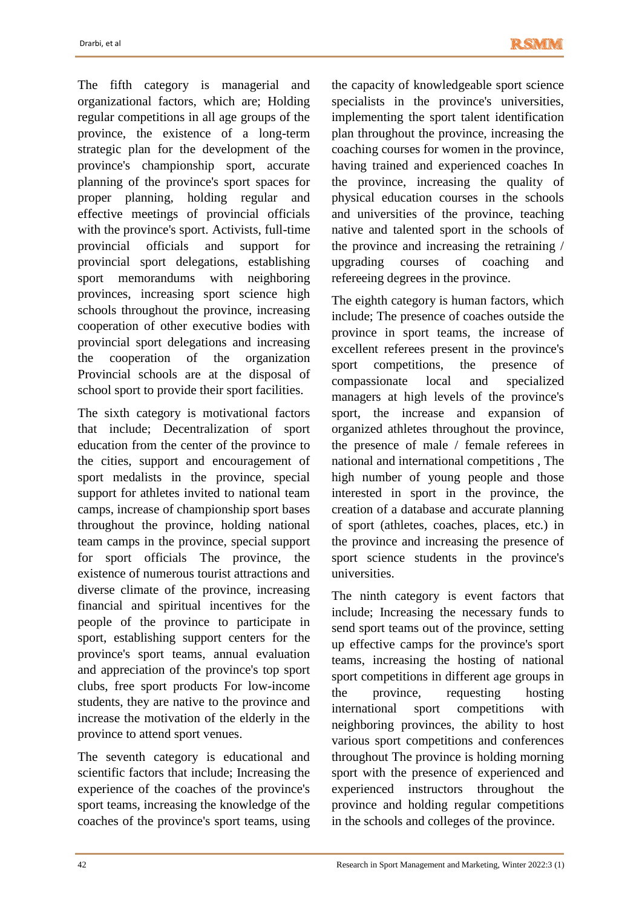The fifth category is managerial and organizational factors, which are; Holding regular competitions in all age groups of the province, the existence of a long-term strategic plan for the development of the province's championship sport, accurate planning of the province's sport spaces for proper planning, holding regular and effective meetings of provincial officials with the province's sport. Activists, full-time provincial officials and support for provincial sport delegations, establishing sport memorandums with neighboring provinces, increasing sport science high schools throughout the province, increasing cooperation of other executive bodies with provincial sport delegations and increasing the cooperation of the organization Provincial schools are at the disposal of school sport to provide their sport facilities.

The sixth category is motivational factors that include; Decentralization of sport education from the center of the province to the cities, support and encouragement of sport medalists in the province, special support for athletes invited to national team camps, increase of championship sport bases throughout the province, holding national team camps in the province, special support for sport officials The province, the existence of numerous tourist attractions and diverse climate of the province, increasing financial and spiritual incentives for the people of the province to participate in sport, establishing support centers for the province's sport teams, annual evaluation and appreciation of the province's top sport clubs, free sport products For low-income students, they are native to the province and increase the motivation of the elderly in the province to attend sport venues.

The seventh category is educational and scientific factors that include; Increasing the experience of the coaches of the province's sport teams, increasing the knowledge of the coaches of the province's sport teams, using the capacity of knowledgeable sport science specialists in the province's universities, implementing the sport talent identification plan throughout the province, increasing the coaching courses for women in the province, having trained and experienced coaches In the province, increasing the quality of physical education courses in the schools and universities of the province, teaching native and talented sport in the schools of the province and increasing the retraining / upgrading courses of coaching and refereeing degrees in the province.

The eighth category is human factors, which include; The presence of coaches outside the province in sport teams, the increase of excellent referees present in the province's sport competitions, the presence of compassionate local and specialized managers at high levels of the province's sport, the increase and expansion of organized athletes throughout the province, the presence of male / female referees in national and international competitions , The high number of young people and those interested in sport in the province, the creation of a database and accurate planning of sport (athletes, coaches, places, etc.) in the province and increasing the presence of sport science students in the province's universities.

The ninth category is event factors that include; Increasing the necessary funds to send sport teams out of the province, setting up effective camps for the province's sport teams, increasing the hosting of national sport competitions in different age groups in the province, requesting hosting international sport competitions with neighboring provinces, the ability to host various sport competitions and conferences throughout The province is holding morning sport with the presence of experienced and experienced instructors throughout the province and holding regular competitions in the schools and colleges of the province.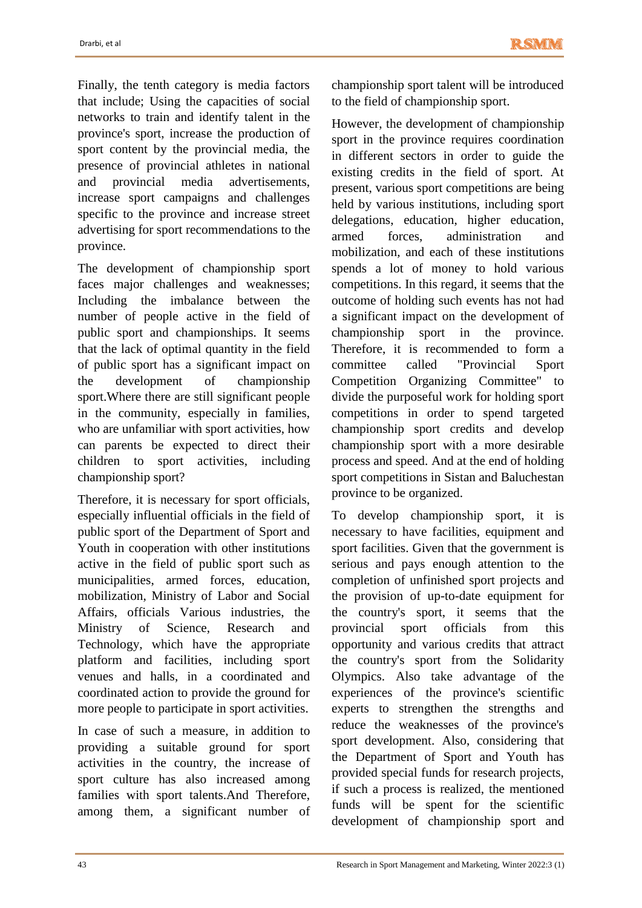Finally, the tenth category is media factors that include; Using the capacities of social networks to train and identify talent in the province's sport, increase the production of sport content by the provincial media, the presence of provincial athletes in national and provincial media advertisements, increase sport campaigns and challenges specific to the province and increase street advertising for sport recommendations to the province.

The development of championship sport faces major challenges and weaknesses; Including the imbalance between the number of people active in the field of public sport and championships. It seems that the lack of optimal quantity in the field of public sport has a significant impact on the development of championship sport.Where there are still significant people in the community, especially in families, who are unfamiliar with sport activities, how can parents be expected to direct their children to sport activities, including championship sport?

Therefore, it is necessary for sport officials, especially influential officials in the field of public sport of the Department of Sport and Youth in cooperation with other institutions active in the field of public sport such as municipalities, armed forces, education, mobilization, Ministry of Labor and Social Affairs, officials Various industries, the Ministry of Science, Research and Technology, which have the appropriate platform and facilities, including sport venues and halls, in a coordinated and coordinated action to provide the ground for more people to participate in sport activities.

In case of such a measure, in addition to providing a suitable ground for sport activities in the country, the increase of sport culture has also increased among families with sport talents.And Therefore, among them, a significant number of championship sport talent will be introduced to the field of championship sport.

However, the development of championship sport in the province requires coordination in different sectors in order to guide the existing credits in the field of sport. At present, various sport competitions are being held by various institutions, including sport delegations, education, higher education, armed forces, administration and mobilization, and each of these institutions spends a lot of money to hold various competitions. In this regard, it seems that the outcome of holding such events has not had a significant impact on the development of championship sport in the province. Therefore, it is recommended to form a committee called "Provincial Sport Competition Organizing Committee" to divide the purposeful work for holding sport competitions in order to spend targeted championship sport credits and develop championship sport with a more desirable process and speed. And at the end of holding sport competitions in Sistan and Baluchestan province to be organized.

To develop championship sport, it is necessary to have facilities, equipment and sport facilities. Given that the government is serious and pays enough attention to the completion of unfinished sport projects and the provision of up-to-date equipment for the country's sport, it seems that the provincial sport officials from this opportunity and various credits that attract the country's sport from the Solidarity Olympics. Also take advantage of the experiences of the province's scientific experts to strengthen the strengths and reduce the weaknesses of the province's sport development. Also, considering that the Department of Sport and Youth has provided special funds for research projects, if such a process is realized, the mentioned funds will be spent for the scientific development of championship sport and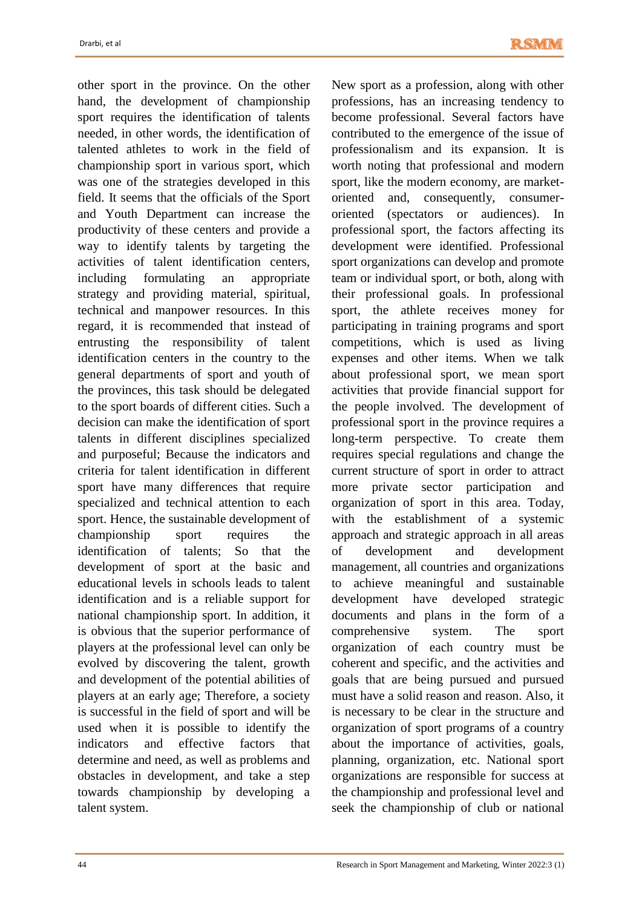other sport in the province. On the other hand, the development of championship sport requires the identification of talents needed, in other words, the identification of talented athletes to work in the field of championship sport in various sport, which was one of the strategies developed in this field. It seems that the officials of the Sport and Youth Department can increase the productivity of these centers and provide a way to identify talents by targeting the activities of talent identification centers, including formulating an appropriate strategy and providing material, spiritual, technical and manpower resources. In this regard, it is recommended that instead of entrusting the responsibility of talent identification centers in the country to the general departments of sport and youth of the provinces, this task should be delegated to the sport boards of different cities. Such a decision can make the identification of sport talents in different disciplines specialized and purposeful; Because the indicators and criteria for talent identification in different sport have many differences that require specialized and technical attention to each sport. Hence, the sustainable development of championship sport requires the identification of talents; So that the development of sport at the basic and educational levels in schools leads to talent identification and is a reliable support for national championship sport. In addition, it is obvious that the superior performance of players at the professional level can only be evolved by discovering the talent, growth and development of the potential abilities of players at an early age; Therefore, a society is successful in the field of sport and will be used when it is possible to identify the indicators and effective factors that determine and need, as well as problems and obstacles in development, and take a step towards championship by developing a talent system.

New sport as a profession, along with other professions, has an increasing tendency to become professional. Several factors have contributed to the emergence of the issue of professionalism and its expansion. It is worth noting that professional and modern sport, like the modern economy, are marketoriented and, consequently, consumeroriented (spectators or audiences). In professional sport, the factors affecting its development were identified. Professional sport organizations can develop and promote team or individual sport, or both, along with their professional goals. In professional sport, the athlete receives money for participating in training programs and sport competitions, which is used as living expenses and other items. When we talk about professional sport, we mean sport activities that provide financial support for the people involved. The development of professional sport in the province requires a long-term perspective. To create them requires special regulations and change the current structure of sport in order to attract more private sector participation and organization of sport in this area. Today, with the establishment of a systemic approach and strategic approach in all areas of development and development management, all countries and organizations to achieve meaningful and sustainable development have developed strategic documents and plans in the form of a comprehensive system. The sport organization of each country must be coherent and specific, and the activities and goals that are being pursued and pursued must have a solid reason and reason. Also, it is necessary to be clear in the structure and organization of sport programs of a country about the importance of activities, goals, planning, organization, etc. National sport organizations are responsible for success at the championship and professional level and seek the championship of club or national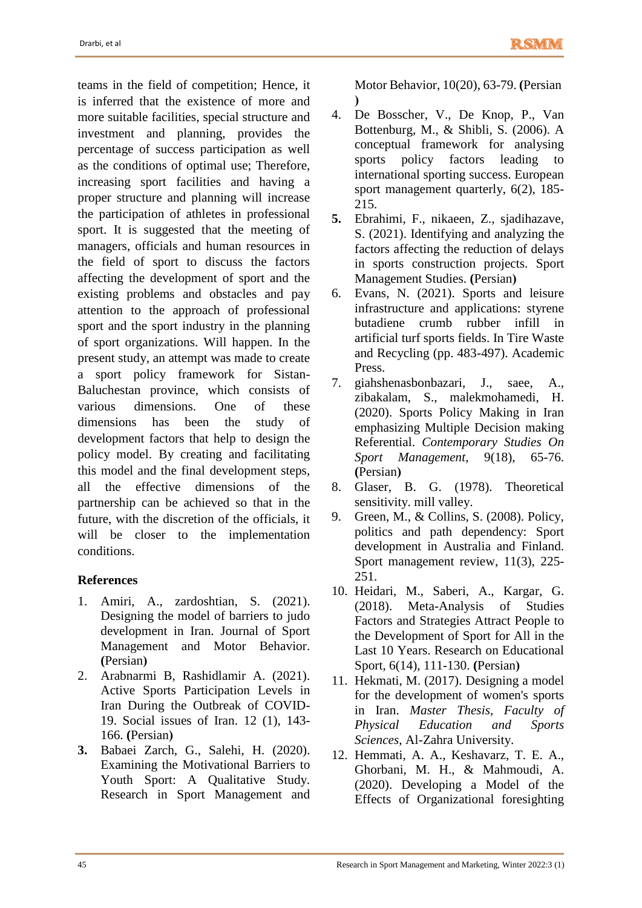teams in the field of competition; Hence, it is inferred that the existence of more and more suitable facilities, special structure and investment and planning, provides the percentage of success participation as well as the conditions of optimal use; Therefore, increasing sport facilities and having a proper structure and planning will increase the participation of athletes in professional sport. It is suggested that the meeting of managers, officials and human resources in the field of sport to discuss the factors affecting the development of sport and the existing problems and obstacles and pay attention to the approach of professional sport and the sport industry in the planning of sport organizations. Will happen. In the present study, an attempt was made to create a sport policy framework for Sistan-Baluchestan province, which consists of various dimensions. One of these dimensions has been the study of development factors that help to design the policy model. By creating and facilitating this model and the final development steps, all the effective dimensions of the partnership can be achieved so that in the future, with the discretion of the officials, it will be closer to the implementation conditions.

# **References**

- 1. Amiri, A., zardoshtian, S. (2021). Designing the model of barriers to judo development in Iran. Journal of Sport Management and Motor Behavior. **(**Persian**(**
- 2. Arabnarmi B, Rashidlamir A. (2021). Active Sports Participation Levels in Iran During the Outbreak of COVID-19. Social issues of Iran. 12 (1), 143- 166. **(**Persian**(**
- **3.** Babaei Zarch, G., Salehi, H. (2020). Examining the Motivational Barriers to Youth Sport: A Qualitative Study. Research in Sport Management and

Motor Behavior, 10(20), 63-79. **(**Persian **(**

- 4. De Bosscher, V., De Knop, P., Van Bottenburg, M., & Shibli, S. (2006). A conceptual framework for analysing sports policy factors leading to international sporting success. European sport management quarterly, 6(2), 185- 215.
- **5.** Ebrahimi, F., nikaeen, Z., sjadihazave, S. (2021). Identifying and analyzing the factors affecting the reduction of delays in sports construction projects. Sport Management Studies. **(**Persian**(**
- 6. Evans, N. (2021). Sports and leisure infrastructure and applications: styrene butadiene crumb rubber infill in artificial turf sports fields. In Tire Waste and Recycling (pp. 483-497). Academic Press.
- 7. giahshenasbonbazari, J., saee, A., zibakalam, S., malekmohamedi, H. (2020). Sports Policy Making in Iran emphasizing Multiple Decision making Referential. *Contemporary Studies On Sport Management*, 9(18), 65-76. **(**Persian**(**
- 8. Glaser, B. G. (1978). Theoretical sensitivity. mill valley.
- 9. Green, M., & Collins, S. (2008). Policy, politics and path dependency: Sport development in Australia and Finland. Sport management review, 11(3), 225- 251.
- 10. Heidari, M., Saberi, A., Kargar, G. (2018). Meta-Analysis of Studies Factors and Strategies Attract People to the Development of Sport for All in the Last 10 Years. Research on Educational Sport, 6(14), 111-130. **(**Persian**(**
- 11. Hekmati, M. (2017). Designing a model for the development of women's sports in Iran. *Master Thesis, Faculty of Physical Education and Sports Sciences*, Al-Zahra University.
- 12. Hemmati, A. A., Keshavarz, T. E. A., Ghorbani, M. H., & Mahmoudi, A. (2020). Developing a Model of the Effects of Organizational foresighting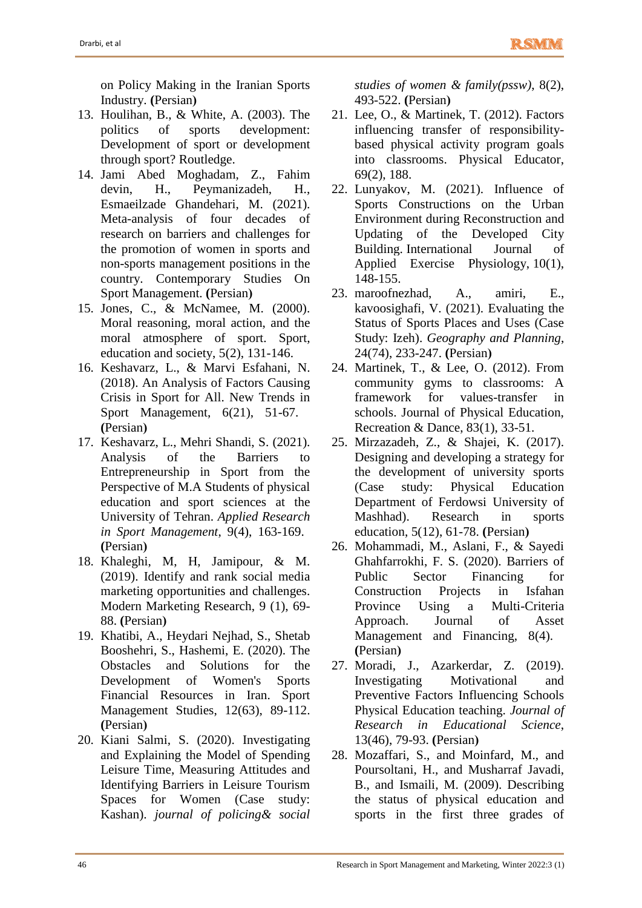on Policy Making in the Iranian Sports Industry. **(**Persian**(**

- 13. Houlihan, B., & White, A. (2003). The politics of sports development: Development of sport or development through sport? Routledge.
- 14. Jami Abed Moghadam, Z., Fahim devin, H., Peymanizadeh, H., Esmaeilzade Ghandehari, M. (2021). Meta-analysis of four decades of research on barriers and challenges for the promotion of women in sports and non-sports management positions in the country. Contemporary Studies On Sport Management. (Persian)
- 15. Jones, C., & McNamee, M. (2000). Moral reasoning, moral action, and the moral atmosphere of sport. Sport, education and society, 5(2), 131-146.
- 16. Keshavarz, L., & Marvi Esfahani, N. (2018). An Analysis of Factors Causing Crisis in Sport for All. New Trends in Sport Management, 6(21), 51-67. **(**Persian**(**
- 17. Keshavarz, L., Mehri Shandi, S. (2021). Analysis of the Barriers to Entrepreneurship in Sport from the Perspective of M.A Students of physical education and sport sciences at the University of Tehran. *Applied Research in Sport Management*, 9(4), 163-169. **(**Persian**(**
- 18. Khaleghi, M, H, Jamipour, & M. (2019). Identify and rank social media marketing opportunities and challenges. Modern Marketing Research, 9 (1), 69- 88. **(**Persian**(**
- 19. Khatibi, A., Heydari Nejhad, S., Shetab Booshehri, S., Hashemi, E. (2020). The Obstacles and Solutions for the Development of Women's Sports Financial Resources in Iran. Sport Management Studies, 12(63), 89-112. **(**Persian**(**
- 20. Kiani Salmi, S. (2020). Investigating and Explaining the Model of Spending Leisure Time, Measuring Attitudes and Identifying Barriers in Leisure Tourism Spaces for Women (Case study: Kashan). *journal of policing& social*

*studies of women & family(pssw)*, 8(2), 493-522. **(**Persian**(**

- 21. Lee, O., & Martinek, T. (2012). Factors influencing transfer of responsibilitybased physical activity program goals into classrooms. Physical Educator, 69(2), 188.
- 22. Lunyakov, M. (2021). Influence of Sports Constructions on the Urban Environment during Reconstruction and Updating of the Developed City Building. International Journal of Applied Exercise Physiology, 10(1), 148-155.
- 23. maroofnezhad, A., amiri, E., kavoosighafi, V. (2021). Evaluating the Status of Sports Places and Uses (Case Study: Izeh). *Geography and Planning*, 24(74), 233-247. **(**Persian**(**
- 24. Martinek, T., & Lee, O. (2012). From community gyms to classrooms: A framework for values-transfer in schools. Journal of Physical Education, Recreation & Dance, 83(1), 33-51.
- 25. Mirzazadeh, Z., & Shajei, K. (2017). Designing and developing a strategy for the development of university sports (Case study: Physical Education Department of Ferdowsi University of Mashhad). Research in sports education, 5(12), 61-78. **(**Persian**(**
- 26. Mohammadi, M., Aslani, F., & Sayedi Ghahfarrokhi, F. S. (2020). Barriers of Public Sector Financing for Construction Projects in Isfahan Province Using a Multi-Criteria Approach. Journal of Asset Management and Financing, 8(4). **(**Persian**(**
- 27. Moradi, J., Azarkerdar, Z. (2019). Investigating Motivational and Preventive Factors Influencing Schools Physical Education teaching. *Journal of Research in Educational Science*, 13(46), 79-93. **(**Persian**(**
- 28. Mozaffari, S., and Moinfard, M., and Poursoltani, H., and Musharraf Javadi, B., and Ismaili, M. (2009). Describing the status of physical education and sports in the first three grades of